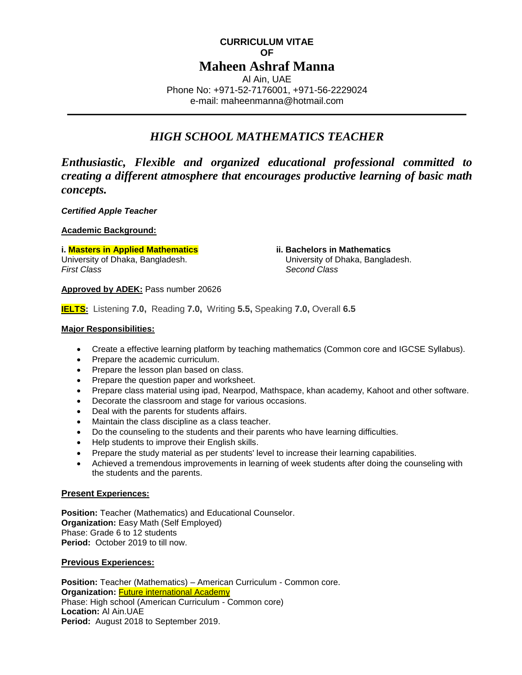# **CURRICULUM VITAE OF Maheen Ashraf Manna** Al Ain, UAE Phone No: +971-52-7176001, +971-56-2229024

e-mail: maheenmanna@hotmail.com

# *HIGH SCHOOL MATHEMATICS TEACHER*

*Enthusiastic, Flexible and organized educational professional committed to creating a different atmosphere that encourages productive learning of basic math concepts.* 

*Certified Apple Teacher*

**Academic Background:**

**i. Masters in Applied Mathematics ii. Bachelors in Mathematics** University of Dhaka, Bangladesh. University of Dhaka, Bangladesh. *First Class* Second Class **Second Class** 

**Approved by ADEK:** Pass number 20626

**IELTS:** Listening **7.0,** Reading **7.0,** Writing **5.5,** Speaking **7.0,** Overall **6.5**

# **Major Responsibilities:**

- Create a effective learning platform by teaching mathematics (Common core and IGCSE Syllabus).
- Prepare the academic curriculum.
- Prepare the lesson plan based on class.
- Prepare the question paper and worksheet.
- Prepare class material using ipad, Nearpod, Mathspace, khan academy, Kahoot and other software.
- Decorate the classroom and stage for various occasions.
- Deal with the parents for students affairs.
- Maintain the class discipline as a class teacher.
- Do the counseling to the students and their parents who have learning difficulties.
- Help students to improve their English skills.
- Prepare the study material as per students' level to increase their learning capabilities.
- Achieved a tremendous improvements in learning of week students after doing the counseling with the students and the parents.

#### **Present Experiences:**

**Position:** Teacher (Mathematics) and Educational Counselor. **Organization:** Easy Math (Self Employed) Phase: Grade 6 to 12 students **Period:** October 2019 to till now.

#### **Previous Experiences:**

**Position:** Teacher (Mathematics) – American Curriculum - Common core. **Organization: Future international Academy** Phase: High school (American Curriculum - Common core) **Location:** Al Ain.UAE **Period:** August 2018 to September 2019.